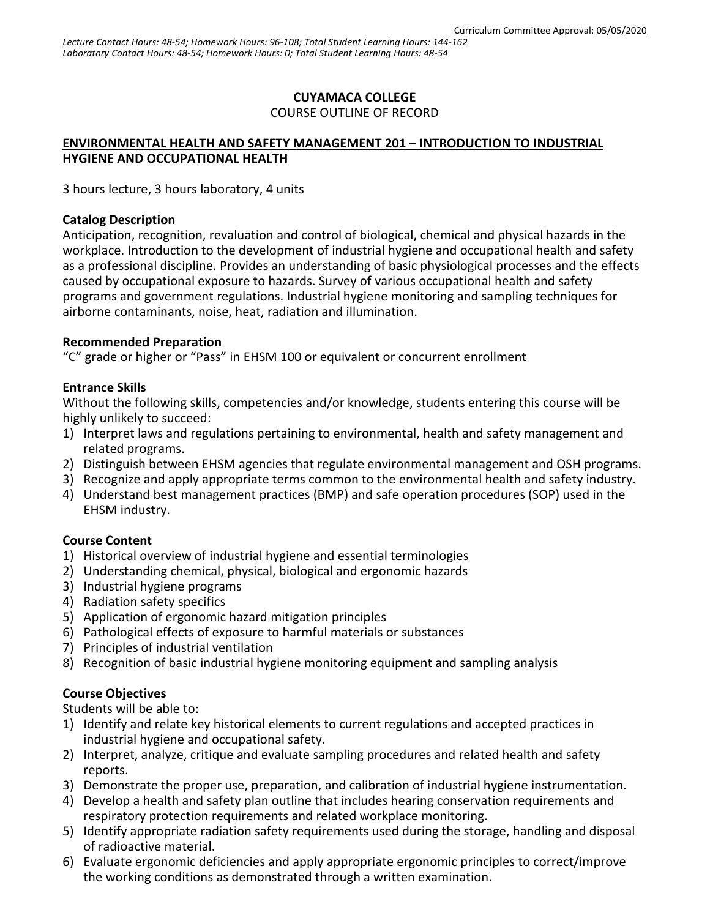# **CUYAMACA COLLEGE**

#### COURSE OUTLINE OF RECORD

# **ENVIRONMENTAL HEALTH AND SAFETY MANAGEMENT 201 – INTRODUCTION TO INDUSTRIAL HYGIENE AND OCCUPATIONAL HEALTH**

3 hours lecture, 3 hours laboratory, 4 units

#### **Catalog Description**

Anticipation, recognition, revaluation and control of biological, chemical and physical hazards in the workplace. Introduction to the development of industrial hygiene and occupational health and safety as a professional discipline. Provides an understanding of basic physiological processes and the effects caused by occupational exposure to hazards. Survey of various occupational health and safety programs and government regulations. Industrial hygiene monitoring and sampling techniques for airborne contaminants, noise, heat, radiation and illumination.

#### **Recommended Preparation**

"C" grade or higher or "Pass" in EHSM 100 or equivalent or concurrent enrollment

## **Entrance Skills**

Without the following skills, competencies and/or knowledge, students entering this course will be highly unlikely to succeed:

- 1) Interpret laws and regulations pertaining to environmental, health and safety management and related programs.
- 2) Distinguish between EHSM agencies that regulate environmental management and OSH programs.
- 3) Recognize and apply appropriate terms common to the environmental health and safety industry.
- 4) Understand best management practices (BMP) and safe operation procedures (SOP) used in the EHSM industry.

## **Course Content**

- 1) Historical overview of industrial hygiene and essential terminologies
- 2) Understanding chemical, physical, biological and ergonomic hazards
- 3) Industrial hygiene programs
- 4) Radiation safety specifics
- 5) Application of ergonomic hazard mitigation principles
- 6) Pathological effects of exposure to harmful materials or substances
- 7) Principles of industrial ventilation
- 8) Recognition of basic industrial hygiene monitoring equipment and sampling analysis

## **Course Objectives**

Students will be able to:

- 1) Identify and relate key historical elements to current regulations and accepted practices in industrial hygiene and occupational safety.
- 2) Interpret, analyze, critique and evaluate sampling procedures and related health and safety reports.
- 3) Demonstrate the proper use, preparation, and calibration of industrial hygiene instrumentation.
- 4) Develop a health and safety plan outline that includes hearing conservation requirements and respiratory protection requirements and related workplace monitoring.
- 5) Identify appropriate radiation safety requirements used during the storage, handling and disposal of radioactive material.
- 6) Evaluate ergonomic deficiencies and apply appropriate ergonomic principles to correct/improve the working conditions as demonstrated through a written examination.